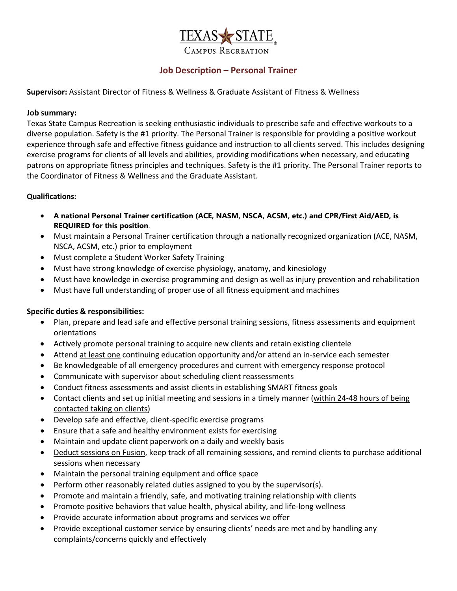

# **Job Description – Personal Trainer**

#### **Supervisor:** Assistant Director of Fitness & Wellness & Graduate Assistant of Fitness & Wellness

#### **Job summary:**

Texas State Campus Recreation is seeking enthusiastic individuals to prescribe safe and effective workouts to a diverse population. Safety is the #1 priority. The Personal Trainer is responsible for providing a positive workout experience through safe and effective fitness guidance and instruction to all clients served. This includes designing exercise programs for clients of all levels and abilities, providing modifications when necessary, and educating patrons on appropriate fitness principles and techniques. Safety is the #1 priority. The Personal Trainer reports to the Coordinator of Fitness & Wellness and the Graduate Assistant.

#### **Qualifications:**

- **A national Personal Trainer certification (ACE, NASM, NSCA, ACSM, etc.) and CPR/First Aid/AED, is REQUIRED for this position**.
- Must maintain a Personal Trainer certification through a nationally recognized organization (ACE, NASM, NSCA, ACSM, etc.) prior to employment
- Must complete a Student Worker Safety Training
- Must have strong knowledge of exercise physiology, anatomy, and kinesiology
- Must have knowledge in exercise programming and design as well as injury prevention and rehabilitation
- Must have full understanding of proper use of all fitness equipment and machines

### **Specific duties & responsibilities:**

- Plan, prepare and lead safe and effective personal training sessions, fitness assessments and equipment orientations
- Actively promote personal training to acquire new clients and retain existing clientele
- Attend at least one continuing education opportunity and/or attend an in-service each semester
- Be knowledgeable of all emergency procedures and current with emergency response protocol
- Communicate with supervisor about scheduling client reassessments
- Conduct fitness assessments and assist clients in establishing SMART fitness goals
- Contact clients and set up initial meeting and sessions in a timely manner (within 24-48 hours of being contacted taking on clients)
- Develop safe and effective, client-specific exercise programs
- Ensure that a safe and healthy environment exists for exercising
- Maintain and update client paperwork on a daily and weekly basis
- Deduct sessions on Fusion, keep track of all remaining sessions, and remind clients to purchase additional sessions when necessary
- Maintain the personal training equipment and office space
- Perform other reasonably related duties assigned to you by the supervisor(s).
- Promote and maintain a friendly, safe, and motivating training relationship with clients
- Promote positive behaviors that value health, physical ability, and life-long wellness
- Provide accurate information about programs and services we offer
- Provide exceptional customer service by ensuring clients' needs are met and by handling any complaints/concerns quickly and effectively